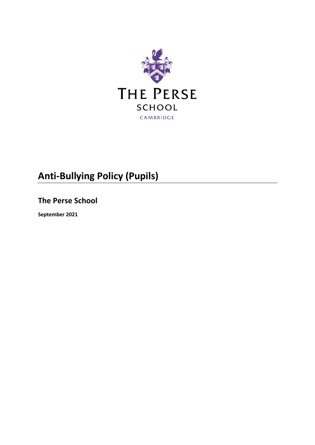

# **Anti-Bullying Policy (Pupils)**

**The Perse School**

**September 2021**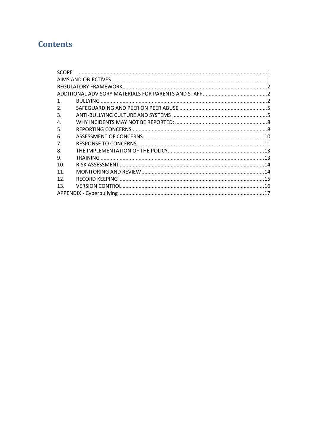# **Contents**

| 1               |  |  |  |
|-----------------|--|--|--|
| 2.              |  |  |  |
| 3.              |  |  |  |
| 4.              |  |  |  |
| 5.              |  |  |  |
| 6.              |  |  |  |
| 7.              |  |  |  |
| 8.              |  |  |  |
| 9.              |  |  |  |
| 10.             |  |  |  |
| 11 <sub>1</sub> |  |  |  |
| 12.             |  |  |  |
| 13.             |  |  |  |
|                 |  |  |  |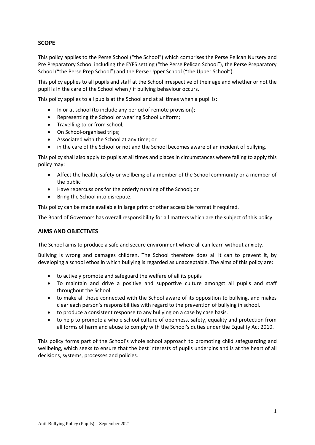# <span id="page-2-0"></span>**SCOPE**

This policy applies to the Perse School ("the School") which comprises the Perse Pelican Nursery and Pre Preparatory School including the EYFS setting ("the Perse Pelican School"), the Perse Preparatory School ("the Perse Prep School") and the Perse Upper School ("the Upper School").

This policy applies to all pupils and staff at the School irrespective of their age and whether or not the pupil is in the care of the School when / if bullying behaviour occurs.

This policy applies to all pupils at the School and at all times when a pupil is:

- In or at school (to include any period of remote provision);
- Representing the School or wearing School uniform;
- Travelling to or from school;
- On School-organised trips;
- Associated with the School at any time; or
- in the care of the School or not and the School becomes aware of an incident of bullying.

This policy shall also apply to pupils at all times and places in circumstances where failing to apply this policy may:

- Affect the health, safety or wellbeing of a member of the School community or a member of the public
- Have repercussions for the orderly running of the School; or
- Bring the School into disrepute.

This policy can be made available in large print or other accessible format if required.

The Board of Governors has overall responsibility for all matters which are the subject of this policy.

#### <span id="page-2-1"></span>**AIMS AND OBJECTIVES**

The School aims to produce a safe and secure environment where all can learn without anxiety.

Bullying is wrong and damages children. The School therefore does all it can to prevent it, by developing a school ethos in which bullying is regarded as unacceptable. The aims of this policy are:

- to actively promote and safeguard the welfare of all its pupils
- To maintain and drive a positive and supportive culture amongst all pupils and staff throughout the School.
- to make all those connected with the School aware of its opposition to bullying, and makes clear each person's responsibilities with regard to the prevention of bullying in school.
- to produce a consistent response to any bullying on a case by case basis.
- to help to promote a whole school culture of openness, safety, equality and protection from all forms of harm and abuse to comply with the School's duties under the Equality Act 2010.

This policy forms part of the School's whole school approach to promoting child safeguarding and wellbeing, which seeks to ensure that the best interests of pupils underpins and is at the heart of all decisions, systems, processes and policies.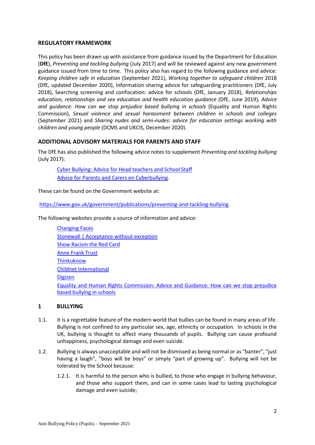#### <span id="page-3-0"></span>**REGULATORY FRAMEWORK**

This policy has been drawn up with assistance from guidance issued by the Department for Education (**DfE**), *Preventing and tackling bullying* (July 2017) and will be reviewed against any new government guidance issued from time to time. This policy also has regard to the following guidance and advice: *Keeping children safe in education* (September 2021), *Working together to safeguard children* 2018 (DfE, updated December 2020), Information sharing advice for safeguarding practitioners (DfE, July 2018), Searching screening and confiscation: advice for schools (DfE, January 2018), *Relationships education, relationships and sex education and health education guidance* (DfE, June 2019), *Advice and guidance: How can we stop prejudice based bullying in schools* (Equality and Human Rights Commission), *Sexual violence and sexual harassment between children in schools and colleges* (September 2021) and *Sharing nudes and semi-nudes: advice for education settings working with children and young people* (DCMS and UKCIS, December 2020).

#### <span id="page-3-1"></span>**ADDITIONAL ADVISORY MATERIALS FOR PARENTS AND STAFF**

The DfE has also published the following advice notes to supplement *Preventing and tackling bullying*  (July 2017):

[Cyber Bullying: Advice for Head teachers and School Staff](https://www.gov.uk/government/publications/preventing-and-tackling-bullying) [Advice for Parents and Carers on Cyberbullying.](https://www.gov.uk/government/publications/preventing-and-tackling-bullying)

These can be found on the Government website at:

[https://www.gov.uk/government/publications/preventing-and-tackling-bullying.](https://www.gov.uk/government/publications/preventing-and-tackling-bullying)

The following websites provide a source of information and advice:

| <b>Changing Faces</b>                                                                |
|--------------------------------------------------------------------------------------|
| Stonewall   Acceptance without exception                                             |
| <b>Show Racism the Red Card</b>                                                      |
| <b>Anne Frank Trust</b>                                                              |
| Thinkuknow                                                                           |
| <b>Childnet International</b>                                                        |
| <b>Digizen</b>                                                                       |
| Equality and Human Rights Commission: Advice and Guidance: How can we stop prejudice |
| based bullying in schools                                                            |
|                                                                                      |

#### <span id="page-3-2"></span>**1 BULLYING**

- 1.1. It is a regrettable feature of the modern world that bullies can be found in many areas of life. Bullying is not confined to any particular sex, age, ethnicity or occupation. In schools in the UK, bullying is thought to affect many thousands of pupils. Bullying can cause profound unhappiness, psychological damage and even suicide.
- 1.2. Bullying is always unacceptable and will not be dismissed as being normal or as "banter", "just having a laugh", "boys will be boys" or simply "part of growing up". Bullying will not be tolerated by the School because:
	- 1.2.1. It is harmful to the person who is bullied, to those who engage in bullying behaviour, and those who support them, and can in some cases lead to lasting psychological damage and even suicide;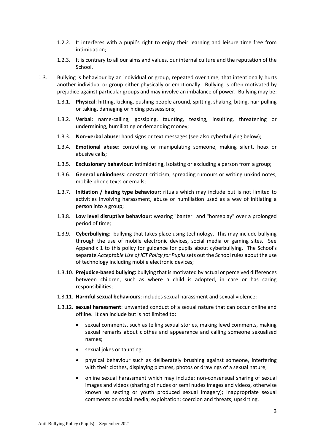- 1.2.2. It interferes with a pupil's right to enjoy their learning and leisure time free from intimidation;
- 1.2.3. It is contrary to all our aims and values, our internal culture and the reputation of the School.
- 1.3. Bullying is behaviour by an individual or group, repeated over time, that intentionally hurts another individual or group either physically or emotionally. Bullying is often motivated by prejudice against particular groups and may involve an imbalance of power. Bullying may be:
	- 1.3.1. **Physical**: hitting, kicking, pushing people around, spitting, shaking, biting, hair pulling or taking, damaging or hiding possessions;
	- 1.3.2. **Verbal**: name-calling, gossiping, taunting, teasing, insulting, threatening or undermining, humiliating or demanding money;
	- 1.3.3. **Non-verbal abuse**: hand signs or text messages (see also cyberbullying below);
	- 1.3.4. **Emotional abuse**: controlling or manipulating someone, making silent, hoax or abusive calls;
	- 1.3.5. **Exclusionary behaviour**: intimidating, isolating or excluding a person from a group;
	- 1.3.6. **General unkindness**: constant criticism, spreading rumours or writing unkind notes, mobile phone texts or emails;
	- 1.3.7. **Initiation / hazing type behaviour:** rituals which may include but is not limited to activities involving harassment, abuse or humiliation used as a way of initiating a person into a group;
	- 1.3.8. **Low level disruptive behaviour**: wearing "banter" and "horseplay" over a prolonged period of time;
	- 1.3.9. **Cyberbullying**: bullying that takes place using technology. This may include bullying through the use of mobile electronic devices, social media or gaming sites. See Appendix 1 to this policy for guidance for pupils about cyberbullying. The School's separate *Acceptable Use of ICT Policy for Pupils*sets out the School rules about the use of technology including mobile electronic devices;
	- 1.3.10. **Prejudice-based bullying:** bullying that is motivated by actual or perceived differences between children, such as where a child is adopted, in care or has caring responsibilities;
	- 1.3.11. **Harmful sexual behaviours**: includes sexual harassment and sexual violence:
	- 1.3.12. **sexual harassment**: unwanted conduct of a sexual nature that can occur online and offline. It can include but is not limited to:
		- sexual comments, such as telling sexual stories, making lewd comments, making sexual remarks about clothes and appearance and calling someone sexualised names;
		- sexual jokes or taunting;
		- physical behaviour such as deliberately brushing against someone, interfering with their clothes, displaying pictures, photos or drawings of a sexual nature;
		- online sexual harassment which may include: non-consensual sharing of sexual images and videos (sharing of nudes or semi nudes images and videos, otherwise known as sexting or youth produced sexual imagery); inappropriate sexual comments on social media; exploitation; coercion and threats; upskirting.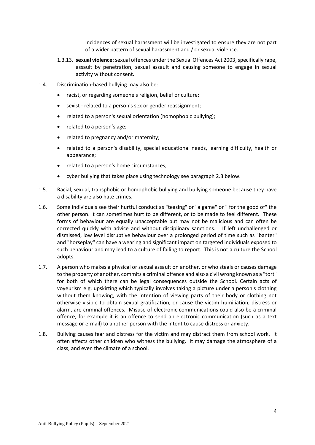Incidences of sexual harassment will be investigated to ensure they are not part of a wider pattern of sexual harassment and / or sexual violence.

- 1.3.13. **sexual violence**: sexual offences under the Sexual Offences Act 2003, specifically rape, assault by penetration, sexual assault and causing someone to engage in sexual activity without consent.
- 1.4. Discrimination-based bullying may also be:
	- racist, or regarding someone's religion, belief or culture;
	- sexist related to a person's sex or gender reassignment;
	- related to a person's sexual orientation (homophobic bullying);
	- related to a person's age;
	- related to pregnancy and/or maternity;
	- related to a person's disability, special educational needs, learning difficulty, health or appearance;
	- related to a person's home circumstances;
	- cyber bullying that takes place using technology see paragrap[h 2.3](#page-6-2) below.
- 1.5. Racial, sexual, transphobic or homophobic bullying and bullying someone because they have a disability are also hate crimes.
- 1.6. Some individuals see their hurtful conduct as "teasing" or "a game" or " for the good of" the other person. It can sometimes hurt to be different, or to be made to feel different. These forms of behaviour are equally unacceptable but may not be malicious and can often be corrected quickly with advice and without disciplinary sanctions. If left unchallenged or dismissed, low level disruptive behaviour over a prolonged period of time such as "banter" and "horseplay" can have a wearing and significant impact on targeted individuals exposed to such behaviour and may lead to a culture of failing to report. This is not a culture the School adopts.
- 1.7. A person who makes a physical or sexual assault on another, or who steals or causes damage to the property of another, commits a criminal offence and also a civil wrong known as a "tort" for both of which there can be legal consequences outside the School. Certain acts of voyeurism e.g. upskirting which typically involves taking a picture under a person's clothing without them knowing, with the intention of viewing parts of their body or clothing not otherwise visible to obtain sexual gratification, or cause the victim humiliation, distress or alarm, are criminal offences. Misuse of electronic communications could also be a criminal offence, for example it is an offence to send an electronic communication (such as a text message or e-mail) to another person with the intent to cause distress or anxiety.
- 1.8. Bullying causes fear and distress for the victim and may distract them from school work. It often affects other children who witness the bullying. It may damage the atmosphere of a class, and even the climate of a school.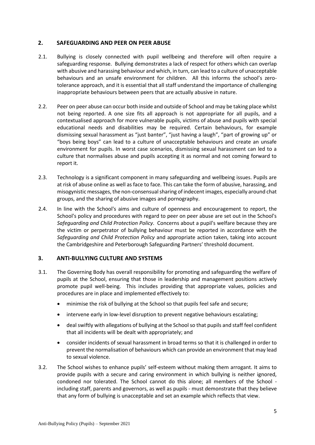# <span id="page-6-0"></span>**2. SAFEGUARDING AND PEER ON PEER ABUSE**

- 2.1. Bullying is closely connected with pupil wellbeing and therefore will often require a safeguarding response. Bullying demonstrates a lack of respect for others which can overlap with abusive and harassing behaviour and which, in turn, can lead to a culture of unacceptable behaviours and an unsafe environment for children. All this informs the school's zerotolerance approach, and it is essential that all staff understand the importance of challenging inappropriate behaviours between peers that are actually abusive in nature.
- 2.2. Peer on peer abuse can occur both inside and outside of School and may be taking place whilst not being reported. A one size fits all approach is not appropriate for all pupils, and a contextualised approach for more vulnerable pupils, victims of abuse and pupils with special educational needs and disabilities may be required. Certain behaviours, for example dismissing sexual harassment as "just banter", "just having a laugh", "part of growing up" or "boys being boys" can lead to a culture of unacceptable behaviours and create an unsafe environment for pupils. In worst case scenarios, dismissing sexual harassment can led to a culture that normalises abuse and pupils accepting it as normal and not coming forward to report it.
- <span id="page-6-2"></span>2.3. Technology is a significant component in many safeguarding and wellbeing issues. Pupils are at risk of abuse online as well as face to face. This can take the form of abusive, harassing, and misogynistic messages, the non-consensual sharing of indecent images, especially around chat groups, and the sharing of abusive images and pornography.
- 2.4. In line with the School's aims and culture of openness and encouragement to report, the School's policy and procedures with regard to peer on peer abuse are set out in the School's *Safeguarding and Child Protection Policy*. Concerns about a pupil's welfare because they are the victim or perpetrator of bullying behaviour must be reported in accordance with the *Safeguarding and Child Protection Policy* and appropriate action taken, taking into account the Cambridgeshire and Peterborough Safeguarding Partners' threshold document.

# <span id="page-6-1"></span>**3. ANTI-BULLYING CULTURE AND SYSTEMS**

- 3.1. The Governing Body has overall responsibility for promoting and safeguarding the welfare of pupils at the School, ensuring that those in leadership and management positions actively promote pupil well-being. This includes providing that appropriate values, policies and procedures are in place and implemented effectively to:
	- minimise the risk of bullying at the School so that pupils feel safe and secure;
	- intervene early in low-level disruption to prevent negative behaviours escalating;
	- deal swiftly with allegations of bullying at the School so that pupils and staff feel confident that all incidents will be dealt with appropriately; and
	- consider incidents of sexual harassment in broad terms so that it is challenged in order to prevent the normalisation of behaviours which can provide an environment that may lead to sexual violence.
- 3.2. The School wishes to enhance pupils' self-esteem without making them arrogant. It aims to provide pupils with a secure and caring environment in which bullying is neither ignored, condoned nor tolerated. The School cannot do this alone; all members of the School including staff, parents and governors, as well as pupils - must demonstrate that they believe that any form of bullying is unacceptable and set an example which reflects that view.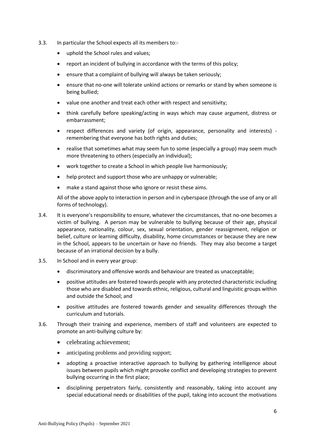- 3.3. In particular the School expects all its members to:-
	- uphold the School rules and values;
	- report an incident of bullying in accordance with the terms of this policy;
	- ensure that a complaint of bullying will always be taken seriously;
	- ensure that no-one will tolerate unkind actions or remarks or stand by when someone is being bullied;
	- value one another and treat each other with respect and sensitivity;
	- think carefully before speaking/acting in ways which may cause argument, distress or embarrassment;
	- respect differences and variety (of origin, appearance, personality and interests) remembering that everyone has both rights and duties;
	- realise that sometimes what may seem fun to some (especially a group) may seem much more threatening to others (especially an individual);
	- work together to create a School in which people live harmoniously;
	- help protect and support those who are unhappy or vulnerable;
	- make a stand against those who ignore or resist these aims.

All of the above apply to interaction in person and in cyberspace (through the use of any or all forms of technology).

- 3.4. It is everyone's responsibility to ensure, whatever the circumstances, that no-one becomes a victim of bullying. A person may be vulnerable to bullying because of their age, physical appearance, nationality, colour, sex, sexual orientation, gender reassignment, religion or belief, culture or learning difficulty, disability, home circumstances or because they are new in the School, appears to be uncertain or have no friends. They may also become a target because of an irrational decision by a bully.
- 3.5. In School and in every year group:
	- discriminatory and offensive words and behaviour are treated as unacceptable;
	- positive attitudes are fostered towards people with any protected characteristic including those who are disabled and towards ethnic, religious, cultural and linguistic groups within and outside the School; and
	- positive attitudes are fostered towards gender and sexuality differences through the curriculum and tutorials.
- 3.6. Through their training and experience, members of staff and volunteers are expected to promote an anti-bullying culture by:
	- celebrating achievement;
	- anticipating problems and providing support;
	- adopting a proactive interactive approach to bullying by gathering intelligence about issues between pupils which might provoke conflict and developing strategies to prevent bullying occurring in the first place;
	- disciplining perpetrators fairly, consistently and reasonably, taking into account any special educational needs or disabilities of the pupil, taking into account the motivations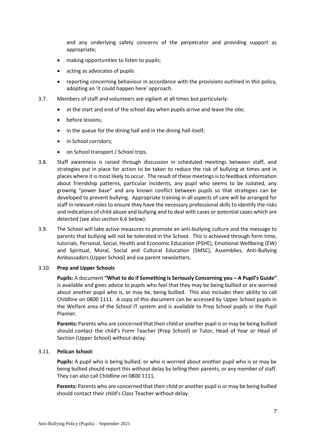and any underlying safety concerns of the perpetrator and providing support as appropriate;

- making opportunities to listen to pupils;
- acting as advocates of pupils
- reporting concerning behaviour in accordance with the provisions outlined in this policy, adopting an 'it could happen here' approach.
- 3.7. Members of staff and volunteers are vigilant at all times but particularly:
	- at the start and end of the school day when pupils arrive and leave the site;
	- before lessons;
	- in the queue for the dining hall and in the dining hall itself;
	- in School corridors;
	- on School transport / School trips.
- 3.8. Staff awareness is raised through discussion in scheduled meetings between staff, and strategies put in place for action to be taken to reduce the risk of bullying at times and in places where it is most likely to occur. The result of these meetings is to feedback information about friendship patterns, particular incidents, any pupil who seems to be isolated, any growing "power base" and any known conflict between pupils so that strategies can be developed to prevent bullying. Appropriate training in all aspects of care will be arranged for staff in relevant roles to ensure they have the necessary professional skills to identify the risks and indications of child abuse and bullying and to deal with cases or potential cases which are detected (see also sectio[n 6.6](#page-12-1) below).
- 3.9. The School will take active measures to promote an anti-bullying culture and the message to parents that bullying will not be tolerated in the School. This is achieved through form time, tutorials, Personal, Social, Health and Economic Education (PSHE), Emotional Wellbeing (EW) and Spiritual, Moral, Social and Cultural Education (SMSC), Assemblies, Anti-Bullying Ambassadors (Upper School) and via parent newsletters.

#### 3.10. **Prep and Upper Schools**

**Pupils:** A document **"What to do if Something is Seriously Concerning you – A Pupil's Guide"** is available and gives advice to pupils who feel that they may be being bullied or are worried about another pupil who is, or may be, being bullied. This also includes their ability to call Childline on 0800 1111. A copy of this document can be accessed by Upper School pupils in the Welfare area of the School IT system and is available to Prep School pupils in the Pupil Planner.

**Parents:** Parents who are concerned that their child or another pupil is or may be being bullied should contact the child's Form Teacher (Prep School) or Tutor, Head of Year or Head of Section (Upper School) without delay.

#### 3.11. **Pelican School:**

**Pupils:** A pupil who is being bullied, or who is worried about another pupil who is or may be being bullied should report this without delay by telling their parents, or any member of staff. They can also call Childline on 0800 1111.

**Parents:** Parents who are concerned that their child or another pupil is or may be being bullied should contact their child's Class Teacher without delay.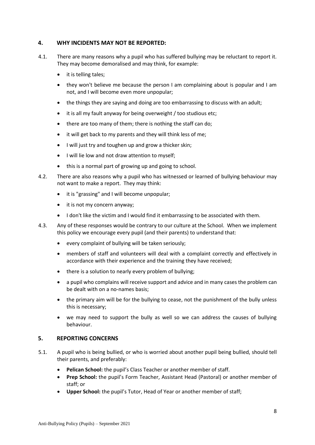# <span id="page-9-0"></span>**4. WHY INCIDENTS MAY NOT BE REPORTED:**

- 4.1. There are many reasons why a pupil who has suffered bullying may be reluctant to report it. They may become demoralised and may think, for example:
	- it is telling tales;
	- they won't believe me because the person I am complaining about is popular and I am not, and I will become even more unpopular;
	- the things they are saying and doing are too embarrassing to discuss with an adult;
	- it is all my fault anyway for being overweight / too studious etc;
	- there are too many of them; there is nothing the staff can do;
	- it will get back to my parents and they will think less of me;
	- I will just try and toughen up and grow a thicker skin;
	- I will lie low and not draw attention to myself;
	- this is a normal part of growing up and going to school.
- 4.2. There are also reasons why a pupil who has witnessed or learned of bullying behaviour may not want to make a report. They may think:
	- it is "grassing" and I will become unpopular;
	- it is not my concern anyway;
	- I don't like the victim and I would find it embarrassing to be associated with them.
- 4.3. Any of these responses would be contrary to our culture at the School. When we implement this policy we encourage every pupil (and their parents) to understand that:
	- every complaint of bullying will be taken seriously;
	- members of staff and volunteers will deal with a complaint correctly and effectively in accordance with their experience and the training they have received;
	- there is a solution to nearly every problem of bullying;
	- a pupil who complains will receive support and advice and in many cases the problem can be dealt with on a no-names basis;
	- the primary aim will be for the bullying to cease, not the punishment of the bully unless this is necessary;
	- we may need to support the bully as well so we can address the causes of bullying behaviour.

#### <span id="page-9-1"></span>**5. REPORTING CONCERNS**

- 5.1. A pupil who is being bullied, or who is worried about another pupil being bullied, should tell their parents, and preferably:
	- **Pelican School:** the pupil's Class Teacher or another member of staff.
	- **Prep School:** the pupil's Form Teacher, Assistant Head (Pastoral) or another member of staff; or
	- **Upper School:** the pupil's Tutor, Head of Year or another member of staff;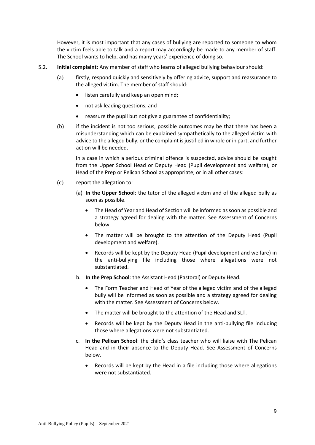However, it is most important that any cases of bullying are reported to someone to whom the victim feels able to talk and a report may accordingly be made to any member of staff. The School wants to help, and has many years' experience of doing so.

- <span id="page-10-0"></span>5.2. **Initial complaint:** Any member of staff who learns of alleged bullying behaviour should:
	- (a) firstly, respond quickly and sensitively by offering advice, support and reassurance to the alleged victim. The member of staff should:
		- listen carefully and keep an open mind;
		- not ask leading questions; and
		- reassure the pupil but not give a guarantee of confidentiality;
	- (b) if the incident is not too serious, possible outcomes may be that there has been a misunderstanding which can be explained sympathetically to the alleged victim with advice to the alleged bully, or the complaint is justified in whole or in part, and further action will be needed.

In a case in which a serious criminal offence is suspected, advice should be sought from the Upper School Head or Deputy Head (Pupil development and welfare), or Head of the Prep or Pelican School as appropriate; or in all other cases:

- (c) report the allegation to:
	- (a) **In the Upper School**: the tutor of the alleged victim and of the alleged bully as soon as possible.
		- The Head of Year and Head of Section will be informed as soon as possible and a strategy agreed for dealing with the matter. See Assessment of Concerns below.
		- The matter will be brought to the attention of the Deputy Head (Pupil development and welfare).
		- Records will be kept by the Deputy Head (Pupil development and welfare) in the anti-bullying file including those where allegations were not substantiated.
	- b. **In the Prep School**: the Assistant Head (Pastoral) or Deputy Head.
		- The Form Teacher and Head of Year of the alleged victim and of the alleged bully will be informed as soon as possible and a strategy agreed for dealing with the matter. See Assessment of Concerns below.
		- The matter will be brought to the attention of the Head and SLT.
		- Records will be kept by the Deputy Head in the anti-bullying file including those where allegations were not substantiated.
	- c. **In the Pelican School**: the child's class teacher who will liaise with The Pelican Head and in their absence to the Deputy Head. See Assessment of Concerns below.
		- Records will be kept by the Head in a file including those where allegations were not substantiated.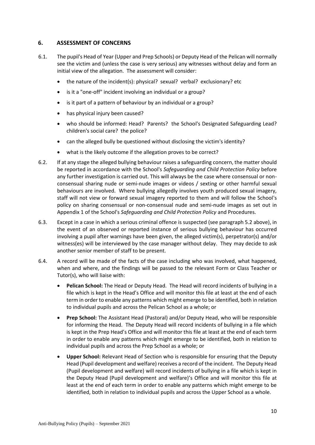# <span id="page-11-0"></span>**6. ASSESSMENT OF CONCERNS**

- 6.1. The pupil's Head of Year (Upper and Prep Schools) or Deputy Head of the Pelican will normally see the victim and (unless the case is very serious) any witnesses without delay and form an initial view of the allegation. The assessment will consider:
	- the nature of the incident(s): physical? sexual? verbal? exclusionary? etc
	- is it a "one-off" incident involving an individual or a group?
	- is it part of a pattern of behaviour by an individual or a group?
	- has physical injury been caused?
	- who should be informed: Head? Parents? the School's Designated Safeguarding Lead? children's social care? the police?
	- can the alleged bully be questioned without disclosing the victim's identity?
	- what is the likely outcome if the allegation proves to be correct?
- 6.2. If at any stage the alleged bullying behaviour raises a safeguarding concern, the matter should be reported in accordance with the School's *Safeguarding and Child Protection Policy* before any further investigation is carried out. This will always be the case where consensual or nonconsensual sharing nude or semi-nude images or videos / sexting or other harmful sexual behaviours are involved. Where bullying allegedly involves youth produced sexual imagery, staff will not view or forward sexual imagery reported to them and will follow the School's policy on sharing consensual or non-consensual nude and semi-nude images as set out in Appendix 1 of the School's *Safeguarding and Child Protection Policy* and Procedures.
- 6.3. Except in a case in which a serious criminal offence is suspected (see paragraph [5.2](#page-10-0) above), in the event of an observed or reported instance of serious bullying behaviour has occurred involving a pupil after warnings have been given, the alleged victim(s), perpetrator(s) and/or witness(es) will be interviewed by the case manager without delay. They may decide to ask another senior member of staff to be present.
- 6.4. A record will be made of the facts of the case including who was involved, what happened, when and where, and the findings will be passed to the relevant Form or Class Teacher or Tutor(s), who will liaise with:
	- **Pelican School:** The Head or Deputy Head. The Head will record incidents of bullying in a file which is kept in the Head's Office and will monitor this file at least at the end of each term in order to enable any patterns which might emerge to be identified, both in relation to individual pupils and across the Pelican School as a whole; or
	- **Prep School:** The Assistant Head (Pastoral) and/or Deputy Head, who will be responsible for informing the Head. The Deputy Head will record incidents of bullying in a file which is kept in the Prep Head's Office and will monitor this file at least at the end of each term in order to enable any patterns which might emerge to be identified, both in relation to individual pupils and across the Prep School as a whole; or
	- **Upper School:** Relevant Head of Section who is responsible for ensuring that the Deputy Head (Pupil development and welfare) receives a record of the incident. The Deputy Head (Pupil development and welfare) will record incidents of bullying in a file which is kept in the Deputy Head (Pupil development and welfare)'s Office and will monitor this file at least at the end of each term in order to enable any patterns which might emerge to be identified, both in relation to individual pupils and across the Upper School as a whole.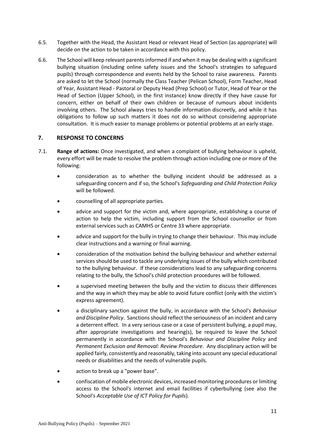- 6.5. Together with the Head, the Assistant Head or relevant Head of Section (as appropriate) will decide on the action to be taken in accordance with this policy.
- <span id="page-12-1"></span>6.6. The School will keep relevant parents informed if and when it may be dealing with a significant bullying situation (including online safety issues and the School's strategies to safeguard pupils) through correspondence and events held by the School to raise awareness. Parents are asked to let the School (normally the Class Teacher (Pelican School), Form Teacher, Head of Year, Assistant Head - Pastoral or Deputy Head (Prep School) or Tutor, Head of Year or the Head of Section (Upper School), in the first instance) know directly if they have cause for concern, either on behalf of their own children or because of rumours about incidents involving others. The School always tries to handle information discreetly, and while it has obligations to follow up such matters it does not do so without considering appropriate consultation. It is much easier to manage problems or potential problems at an early stage.

#### <span id="page-12-0"></span>**7. RESPONSE TO CONCERNS**

- 7.1. **Range of actions:** Once investigated, and when a complaint of bullying behaviour is upheld, every effort will be made to resolve the problem through action including one or more of the following:
	- consideration as to whether the bullying incident should be addressed as a safeguarding concern and if so, the School's *Safeguarding and Child Protection Policy* will be followed.
	- counselling of all appropriate parties.
	- advice and support for the victim and, where appropriate, establishing a course of action to help the victim, including support from the School counsellor or from external services such as CAMHS or Centre 33 where appropriate.
	- advice and support for the bully in trying to change their behaviour. This may include clear instructions and a warning or final warning.
	- consideration of the motivation behind the bullying behaviour and whether external services should be used to tackle any underlying issues of the bully which contributed to the bullying behaviour. If these considerations lead to any safeguarding concerns relating to the bully, the School's child protection procedures will be followed.
	- a supervised meeting between the bully and the victim to discuss their differences and the way in which they may be able to avoid future conflict (only with the victim's express agreement).
	- a disciplinary sanction against the bully, in accordance with the School's *Behaviour and Discipline Policy*. Sanctions should reflect the seriousness of an incident and carry a deterrent effect. In a very serious case or a case of persistent bullying, a pupil may, after appropriate investigations and hearing(s), be required to leave the School permanently in accordance with the School's *Behaviour and Discipline Policy* and *Permanent Exclusion and Removal: Review Procedure*. Any disciplinary action will be applied fairly, consistently and reasonably, taking into account any special educational needs or disabilities and the needs of vulnerable pupils.
	- action to break up a "power base".
	- confiscation of mobile electronic devices, increased monitoring procedures or limiting access to the School's internet and email facilities if cyberbullying (see also the School's *Acceptable Use of ICT Policy for Pupils*).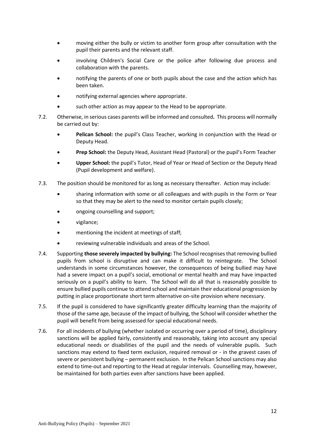- moving either the bully or victim to another form group after consultation with the pupil their parents and the relevant staff.
- involving Children's Social Care or the police after following due process and collaboration with the parents.
- notifying the parents of one or both pupils about the case and the action which has been taken.
- notifying external agencies where appropriate.
- such other action as may appear to the Head to be appropriate.
- 7.2. Otherwise, in serious cases parents will be informed and consulted**.** This process will normally be carried out by:
	- **Pelican School:** the pupil's Class Teacher, working in conjunction with the Head or Deputy Head.
	- **Prep School:** the Deputy Head, Assistant Head (Pastoral) or the pupil's Form Teacher
	- **Upper School:** the pupil's Tutor, Head of Year or Head of Section or the Deputy Head (Pupil development and welfare).
- 7.3. The position should be monitored for as long as necessary thereafter. Action may include:
	- sharing information with some or all colleagues and with pupils in the Form or Year so that they may be alert to the need to monitor certain pupils closely;
	- ongoing counselling and support;
	- vigilance;
	- mentioning the incident at meetings of staff;
	- reviewing vulnerable individuals and areas of the School.
- 7.4. Supporting **those severely impacted by bullying:** The School recognises that removing bullied pupils from school is disruptive and can make it difficult to reintegrate. The School understands in some circumstances however, the consequences of being bullied may have had a severe impact on a pupil's social, emotional or mental health and may have impacted seriously on a pupil's ability to learn. The School will do all that is reasonably possible to ensure bullied pupils continue to attend school and maintain their educational progression by putting in place proportionate short term alternative on-site provision where necessary.
- 7.5. If the pupil is considered to have significantly greater difficulty learning than the majority of those of the same age, because of the impact of bullying, the School will consider whether the pupil will benefit from being assessed for special educational needs.
- 7.6. For all incidents of bullying (whether isolated or occurring over a period of time), disciplinary sanctions will be applied fairly, consistently and reasonably, taking into account any special educational needs or disabilities of the pupil and the needs of vulnerable pupils. Such sanctions may extend to fixed term exclusion, required removal or - in the gravest cases of severe or persistent bullying – permanent exclusion. In the Pelican School sanctions may also extend to time-out and reporting to the Head at regular intervals. Counselling may, however, be maintained for both parties even after sanctions have been applied.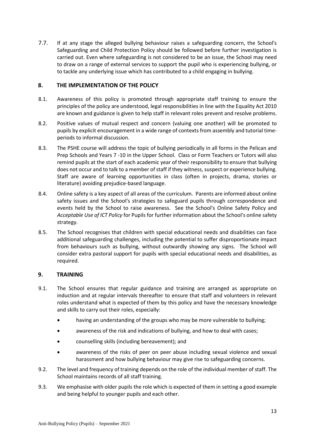7.7. If at any stage the alleged bullying behaviour raises a safeguarding concern, the School's Safeguarding and Child Protection Policy should be followed before further investigation is carried out. Even where safeguarding is not considered to be an issue, the School may need to draw on a range of external services to support the pupil who is experiencing bullying, or to tackle any underlying issue which has contributed to a child engaging in bullying.

# <span id="page-14-0"></span>**8. THE IMPLEMENTATION OF THE POLICY**

- 8.1. Awareness of this policy is promoted through appropriate staff training to ensure the principles of the policy are understood, legal responsibilities in line with the Equality Act 2010 are known and guidance is given to help staff in relevant roles prevent and resolve problems.
- 8.2. Positive values of mutual respect and concern (valuing one another) will be promoted to pupils by explicit encouragement in a wide range of contexts from assembly and tutorial timeperiods to informal discussion.
- 8.3. The PSHE course will address the topic of bullying periodically in all forms in the Pelican and Prep Schools and Years 7 -10 in the Upper School. Class or Form Teachers or Tutors will also remind pupils at the start of each academic year of their responsibility to ensure that bullying does not occur and to talk to a member of staff if they witness, suspect or experience bullying. Staff are aware of learning opportunities in class (often in projects, drama, stories or literature) avoiding prejudice-based language.
- 8.4. Online safety is a key aspect of all areas of the curriculum. Parents are informed about online safety issues and the School's strategies to safeguard pupils through correspondence and events held by the School to raise awareness. See the School's Online Safety Policy and *Acceptable Use of ICT Policy* for Pupils for further information about the School's online safety strategy.
- 8.5. The School recognises that children with special educational needs and disabilities can face additional safeguarding challenges, including the potential to suffer disproportionate impact from behaviours such as bullying, without outwardly showing any signs. The School will consider extra pastoral support for pupils with special educational needs and disabilities, as required.

# <span id="page-14-1"></span>**9. TRAINING**

- 9.1. The School ensures that regular guidance and training are arranged as appropriate on induction and at regular intervals thereafter to ensure that staff and volunteers in relevant roles understand what is expected of them by this policy and have the necessary knowledge and skills to carry out their roles, especially:
	- having an understanding of the groups who may be more vulnerable to bullying;
	- awareness of the risk and indications of bullying, and how to deal with cases;
	- counselling skills (including bereavement); and
	- awareness of the risks of peer on peer abuse including sexual violence and sexual harassment and how bullying behaviour may give rise to safeguarding concerns.
- 9.2. The level and frequency of training depends on the role of the individual member of staff. The School maintains records of all staff training.
- 9.3. We emphasise with older pupils the role which is expected of them in setting a good example and being helpful to younger pupils and each other.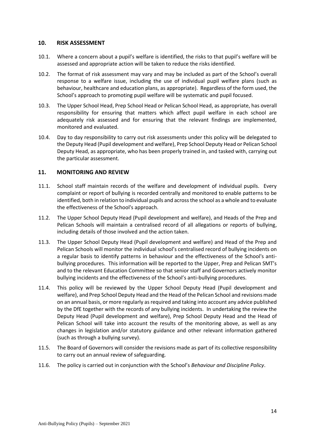#### <span id="page-15-0"></span>**10. RISK ASSESSMENT**

- 10.1. Where a concern about a pupil's welfare is identified, the risks to that pupil's welfare will be assessed and appropriate action will be taken to reduce the risks identified.
- 10.2. The format of risk assessment may vary and may be included as part of the School's overall response to a welfare issue, including the use of individual pupil welfare plans (such as behaviour, healthcare and education plans, as appropriate). Regardless of the form used, the School's approach to promoting pupil welfare will be systematic and pupil focused.
- 10.3. The Upper School Head, Prep School Head or Pelican School Head, as appropriate, has overall responsibility for ensuring that matters which affect pupil welfare in each school are adequately risk assessed and for ensuring that the relevant findings are implemented, monitored and evaluated.
- 10.4. Day to day responsibility to carry out risk assessments under this policy will be delegated to the Deputy Head (Pupil development and welfare), Prep School Deputy Head or Pelican School Deputy Head, as appropriate, who has been properly trained in, and tasked with, carrying out the particular assessment.

# <span id="page-15-1"></span>**11. MONITORING AND REVIEW**

- 11.1. School staff maintain records of the welfare and development of individual pupils. Every complaint or report of bullying is recorded centrally and monitored to enable patterns to be identified, both in relation to individual pupils and across the school as a whole and to evaluate the effectiveness of the School's approach.
- 11.2. The Upper School Deputy Head (Pupil development and welfare), and Heads of the Prep and Pelican Schools will maintain a centralised record of all allegations or reports of bullying, including details of those involved and the action taken.
- 11.3. The Upper School Deputy Head (Pupil development and welfare) and Head of the Prep and Pelican Schools will monitor the individual school's centralised record of bullying incidents on a regular basis to identify patterns in behaviour and the effectiveness of the School's antibullying procedures. This information will be reported to the Upper, Prep and Pelican SMT's and to the relevant Education Committee so that senior staff and Governors actively monitor bullying incidents and the effectiveness of the School's anti-bullying procedures.
- 11.4. This policy will be reviewed by the Upper School Deputy Head (Pupil development and welfare), and Prep School Deputy Head and the Head of the Pelican School and revisions made on an annual basis, or more regularly as required and taking into account any advice published by the DfE together with the records of any bullying incidents. In undertaking the review the Deputy Head (Pupil development and welfare), Prep School Deputy Head and the Head of Pelican School will take into account the results of the monitoring above, as well as any changes in legislation and/or statutory guidance and other relevant information gathered (such as through a bullying survey).
- 11.5. The Board of Governors will consider the revisions made as part of its collective responsibility to carry out an annual review of safeguarding.
- <span id="page-15-2"></span>11.6. The policy is carried out in conjunction with the School's *Behaviour and Discipline Policy*.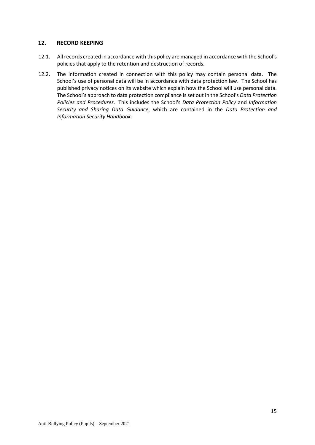# **12. RECORD KEEPING**

- 12.1. All records created in accordance with this policy are managed in accordance with the School's policies that apply to the retention and destruction of records.
- 12.2. The information created in connection with this policy may contain personal data. The School's use of personal data will be in accordance with data protection law. The School has published privacy notices on its website which explain how the School will use personal data. The School's approach to data protection compliance is set out in the School's *Data Protection Policies and Procedures*. This includes the School's *Data Protection Policy* and *Information Security and Sharing Data Guidance*, which are contained in the *Data Protection and Information Security Handbook*.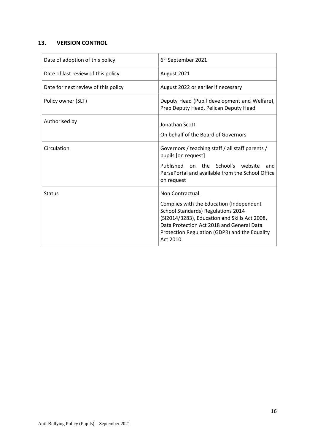# <span id="page-17-0"></span>**13. VERSION CONTROL**

| Date of adoption of this policy     | 6 <sup>th</sup> September 2021                                                                                                                                                                                                                                 |
|-------------------------------------|----------------------------------------------------------------------------------------------------------------------------------------------------------------------------------------------------------------------------------------------------------------|
| Date of last review of this policy  | August 2021                                                                                                                                                                                                                                                    |
| Date for next review of this policy | August 2022 or earlier if necessary                                                                                                                                                                                                                            |
| Policy owner (SLT)                  | Deputy Head (Pupil development and Welfare),<br>Prep Deputy Head, Pelican Deputy Head                                                                                                                                                                          |
| Authorised by                       | Jonathan Scott<br>On behalf of the Board of Governors                                                                                                                                                                                                          |
| Circulation                         | Governors / teaching staff / all staff parents /<br>pupils [on request]                                                                                                                                                                                        |
|                                     | Published on the School's website<br>and<br>PersePortal and available from the School Office<br>on request                                                                                                                                                     |
| <b>Status</b>                       | Non Contractual.<br>Complies with the Education (Independent<br>School Standards) Regulations 2014<br>(SI2014/3283), Education and Skills Act 2008,<br>Data Protection Act 2018 and General Data<br>Protection Regulation (GDPR) and the Equality<br>Act 2010. |